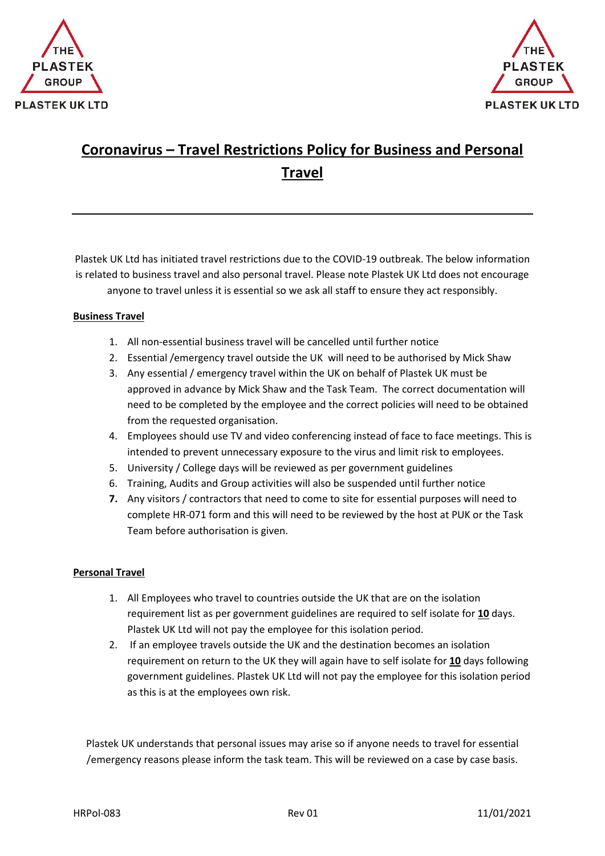



## **Coronavirus – Travel Restrictions Policy for Business and Personal Travel**

Plastek UK Ltd has initiated travel restrictions due to the COVID-19 outbreak. The below information is related to business travel and also personal travel. Please note Plastek UK Ltd does not encourage anyone to travel unless it is essential so we ask all staff to ensure they act responsibly.

## **Business Travel**

- 1. All non-essential business travel will be cancelled until further notice
- 2. Essential /emergency travel outside the UK will need to be authorised by Mick Shaw
- 3. Any essential / emergency travel within the UK on behalf of Plastek UK must be approved in advance by Mick Shaw and the Task Team. The correct documentation will need to be completed by the employee and the correct policies will need to be obtained from the requested organisation.
- 4. Employees should use TV and video conferencing instead of face to face meetings. This is intended to prevent unnecessary exposure to the virus and limit risk to employees.
- 5. University / College days will be reviewed as per government guidelines
- 6. Training, Audits and Group activities will also be suspended until further notice
- **7.** Any visitors / contractors that need to come to site for essential purposes will need to complete HR-071 form and this will need to be reviewed by the host at PUK or the Task Team before authorisation is given.

## **Personal Travel**

- 1. All Employees who travel to countries outside the UK that are on the isolation requirement list as per government guidelines are required to self isolate for **10** days. Plastek UK Ltd will not pay the employee for this isolation period.
- 2. If an employee travels outside the UK and the destination becomes an isolation requirement on return to the UK they will again have to self isolate for **10** days following government guidelines. Plastek UK Ltd will not pay the employee for this isolation period as this is at the employees own risk.

Plastek UK understands that personal issues may arise so if anyone needs to travel for essential /emergency reasons please inform the task team. This will be reviewed on a case by case basis.